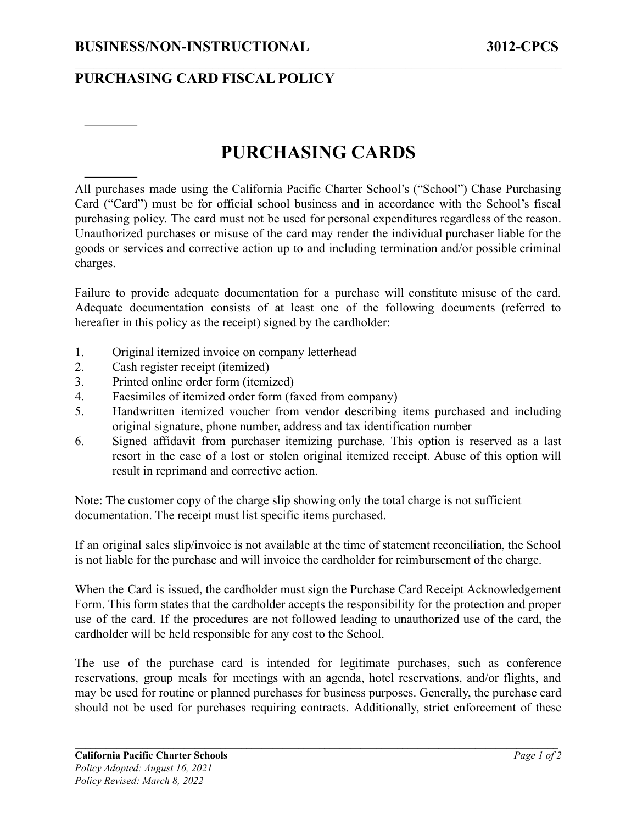## **PURCHASING CARD FISCAL POLICY**

## **PURCHASING CARDS**

 $\mathcal{L}_\mathcal{L} = \{ \mathcal{L}_\mathcal{L} = \{ \mathcal{L}_\mathcal{L} = \{ \mathcal{L}_\mathcal{L} = \{ \mathcal{L}_\mathcal{L} = \{ \mathcal{L}_\mathcal{L} = \{ \mathcal{L}_\mathcal{L} = \{ \mathcal{L}_\mathcal{L} = \{ \mathcal{L}_\mathcal{L} = \{ \mathcal{L}_\mathcal{L} = \{ \mathcal{L}_\mathcal{L} = \{ \mathcal{L}_\mathcal{L} = \{ \mathcal{L}_\mathcal{L} = \{ \mathcal{L}_\mathcal{L} = \{ \mathcal{L}_\mathcal{$ 

All purchases made using the California Pacific Charter School's ("School") Chase Purchasing Card ("Card") must be for official school business and in accordance with the School's fiscal purchasing policy. The card must not be used for personal expenditures regardless of the reason. Unauthorized purchases or misuse of the card may render the individual purchaser liable for the goods or services and corrective action up to and including termination and/or possible criminal charges.

Failure to provide adequate documentation for a purchase will constitute misuse of the card. Adequate documentation consists of at least one of the following documents (referred to hereafter in this policy as the receipt) signed by the cardholder:

- 1. Original itemized invoice on company letterhead
- 2. Cash register receipt (itemized)
- 3. Printed online order form (itemized)
- 4. Facsimiles of itemized order form (faxed from company)
- 5. Handwritten itemized voucher from vendor describing items purchased and including original signature, phone number, address and tax identification number
- 6. Signed affidavit from purchaser itemizing purchase. This option is reserved as a last resort in the case of a lost or stolen original itemized receipt. Abuse of this option will result in reprimand and corrective action.

Note: The customer copy of the charge slip showing only the total charge is not sufficient documentation. The receipt must list specific items purchased.

If an original sales slip/invoice is not available at the time of statement reconciliation, the School is not liable for the purchase and will invoice the cardholder for reimbursement of the charge.

When the Card is issued, the cardholder must sign the Purchase Card Receipt Acknowledgement Form. This form states that the cardholder accepts the responsibility for the protection and proper use of the card. If the procedures are not followed leading to unauthorized use of the card, the cardholder will be held responsible for any cost to the School.

The use of the purchase card is intended for legitimate purchases, such as conference reservations, group meals for meetings with an agenda, hotel reservations, and/or flights, and may be used for routine or planned purchases for business purposes. Generally, the purchase card should not be used for purchases requiring contracts. Additionally, strict enforcement of these